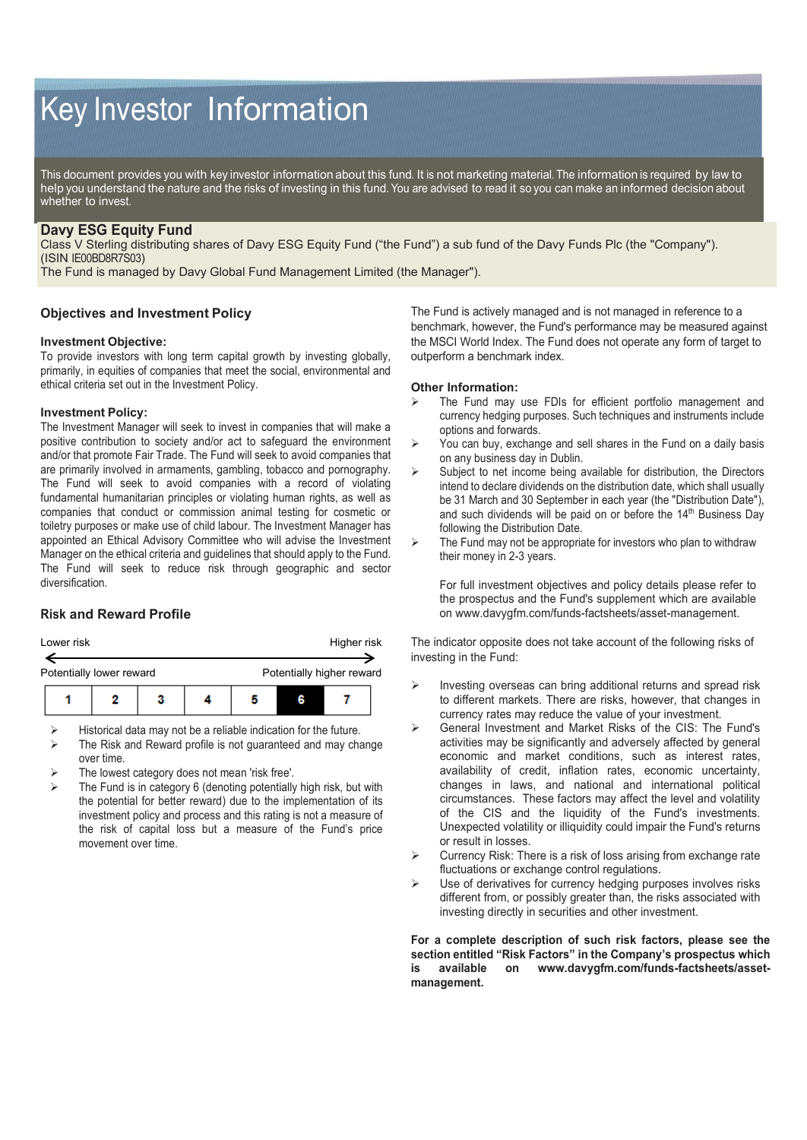# Key Investor Information

This document provides you with key investor information about this fund. It is not marketing material. The information is required by law to help you understand the nature and the risks of investing in this fund. You are advised to read it so you can make an informed decision about whether to invest.

# **Davy ESG Equity Fund**

Class V Sterling distributing shares of Davy ESG Equity Fund ("the Fund") a sub fund of the Davy Funds Plc (the "Company"). (ISIN IE00BD8R7S03)

The Fund is managed by Davy Global Fund Management Limited (the Manager").

## **Objectives and Investment Policy**

#### **Investment Objective:**

To provide investors with long term capital growth by investing globally, primarily, in equities of companies that meet the social, environmental and ethical criteria set out in the Investment Policy.

#### **Investment Policy:**

The Investment Manager will seek to invest in companies that will make a positive contribution to society and/or act to safeguard the environment and/or that promote Fair Trade. The Fund will seek to avoid companies that are primarily involved in armaments, gambling, tobacco and pornography. The Fund will seek to avoid companies with a record of violating fundamental humanitarian principles or violating human rights, as well as companies that conduct or commission animal testing for cosmetic or toiletry purposes or make use of child labour. The Investment Manager has appointed an Ethical Advisory Committee who will advise the Investment Manager on the ethical criteria and guidelines that should apply to the Fund. The Fund will seek to reduce risk through geographic and sector diversification.

### **Risk and Reward Profile**



 $\triangleright$  Historical data may not be a reliable indication for the future.

- $\triangleright$  The Risk and Reward profile is not guaranteed and may change over time.
- The lowest category does not mean 'risk free'.
- The Fund is in category 6 (denoting potentially high risk, but with the potential for better reward) due to the implementation of its investment policy and process and this rating is not a measure of the risk of capital loss but a measure of the Fund's price movement over time.

The Fund is actively managed and is not managed in reference to a benchmark, however, the Fund's performance may be measured against the MSCI World Index. The Fund does not operate any form of target to outperform a benchmark index.

#### **Other Information:**

- The Fund may use FDIs for efficient portfolio management and currency hedging purposes. Such techniques and instruments include options and forwards.
- $\triangleright$  You can buy, exchange and sell shares in the Fund on a daily basis on any business day in Dublin.
- $\triangleright$  Subject to net income being available for distribution, the Directors intend to declare dividends on the distribution date, which shall usually be 31 March and 30 September in each year (the "Distribution Date"), and such dividends will be paid on or before the 14<sup>th</sup> Business Day following the Distribution Date.
- $\triangleright$  The Fund may not be appropriate for investors who plan to withdraw their money in 2-3 years.

For full investment objectives and policy details please refer to the prospectus and the Fund's supplement which are available on www.davygfm.com/funds-factsheets/asset-management.

The indicator opposite does not take account of the following risks of investing in the Fund:

- Investing overseas can bring additional returns and spread risk to different markets. There are risks, however, that changes in currency rates may reduce the value of your investment.
- General Investment and Market Risks of the CIS: The Fund's activities may be significantly and adversely affected by general economic and market conditions, such as interest rates, availability of credit, inflation rates, economic uncertainty, changes in laws, and national and international political circumstances. These factors may affect the level and volatility of the CIS and the liquidity of the Fund's investments. Unexpected volatility or illiquidity could impair the Fund's returns or result in losses.
- $\triangleright$  Currency Risk: There is a risk of loss arising from exchange rate fluctuations or exchange control regulations.
- $\triangleright$  Use of derivatives for currency hedging purposes involves risks different from, or possibly greater than, the risks associated with investing directly in securities and other investment.

**For a complete description of such risk factors, please see the section entitled "Risk Factors" in the Company's prospectus which is available on www.davygfm.com/funds-factsheets/assetmanagement.**